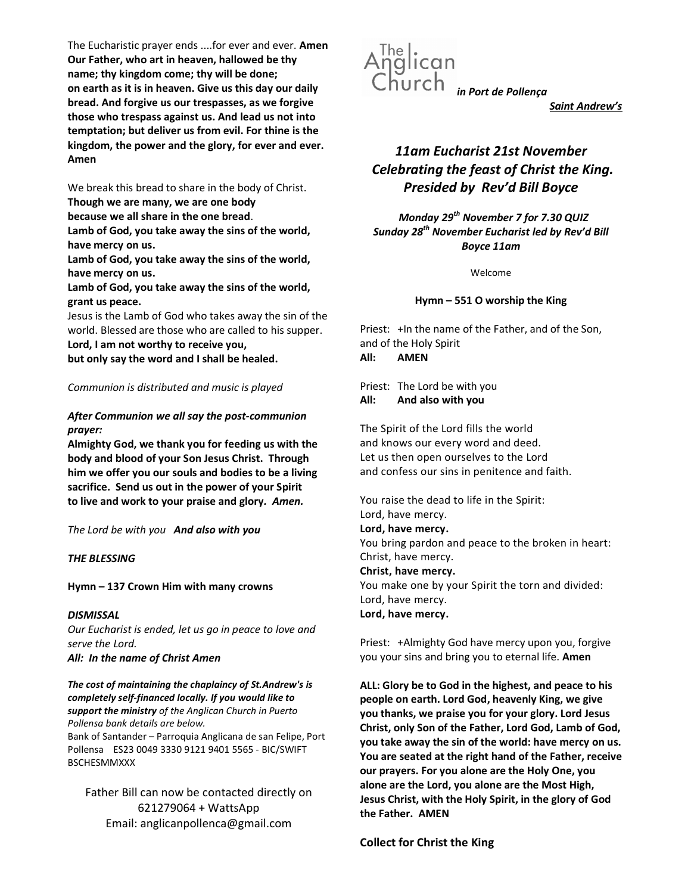The Eucharistic prayer ends ....for ever and ever. Amen Our Father, who art in heaven, hallowed be thy name; thy kingdom come; thy will be done; on earth as it is in heaven. Give us this day our daily bread. And forgive us our trespasses, as we forgive those who trespass against us. And lead us not into temptation; but deliver us from evil. For thine is the kingdom, the power and the glory, for ever and ever. Amen

We break this bread to share in the body of Christ. Though we are many, we are one body

because we all share in the one bread.

Lamb of God, you take away the sins of the world, have mercy on us.

Lamb of God, you take away the sins of the world, have mercy on us.

Lamb of God, you take away the sins of the world, grant us peace.

Jesus is the Lamb of God who takes away the sin of the world. Blessed are those who are called to his supper.

Lord, I am not worthy to receive you,

but only say the word and I shall be healed.

#### Communion is distributed and music is played

#### After Communion we all say the post-communion prayer:

Almighty God, we thank you for feeding us with the body and blood of your Son Jesus Christ. Through him we offer you our souls and bodies to be a living sacrifice. Send us out in the power of your Spirit to live and work to your praise and glory. Amen.

The Lord be with you And also with you

#### THE BLESSING

#### Hymn – 137 Crown Him with many crowns

#### **DISMISSAL**

Our Eucharist is ended, let us go in peace to love and serve the Lord. All: In the name of Christ Amen

The cost of maintaining the chaplaincy of St.Andrew's is completely self-financed locally. If you would like to support the ministry of the Anglican Church in Puerto Pollensa bank details are below. Bank of Santander – Parroquia Anglicana de san Felipe, Port Pollensa ES23 0049 3330 9121 9401 5565 - BIC/SWIFT **BSCHESMMXXX** 

Father Bill can now be contacted directly on 621279064 + WattsApp Email: anglicanpollenca@gmail.com



Saint Andrew's

# 11am Eucharist 21st November Celebrating the feast of Christ the King. Presided by Rev'd Bill Boyce

Monday 29<sup>th</sup> November 7 for 7.30 QUIZ Sunday 28<sup>th</sup> November Eucharist led by Rev'd Bill Boyce 11am

Welcome

#### Hymn – 551 O worship the King

Priest: +In the name of the Father, and of the Son, and of the Holy Spirit All: AMEN

Priest: The Lord be with you All: And also with you

The Spirit of the Lord fills the world and knows our every word and deed. Let us then open ourselves to the Lord and confess our sins in penitence and faith.

You raise the dead to life in the Spirit: Lord, have mercy.

Lord, have mercy. You bring pardon and peace to the broken in heart: Christ, have mercy. Christ, have mercy. You make one by your Spirit the torn and divided:

Lord, have mercy.

Lord, have mercy.

Priest: +Almighty God have mercy upon you, forgive you your sins and bring you to eternal life. Amen

ALL: Glory be to God in the highest, and peace to his people on earth. Lord God, heavenly King, we give you thanks, we praise you for your glory. Lord Jesus Christ, only Son of the Father, Lord God, Lamb of God, you take away the sin of the world: have mercy on us. You are seated at the right hand of the Father, receive our prayers. For you alone are the Holy One, you alone are the Lord, you alone are the Most High, Jesus Christ, with the Holy Spirit, in the glory of God the Father. AMEN

Collect for Christ the King